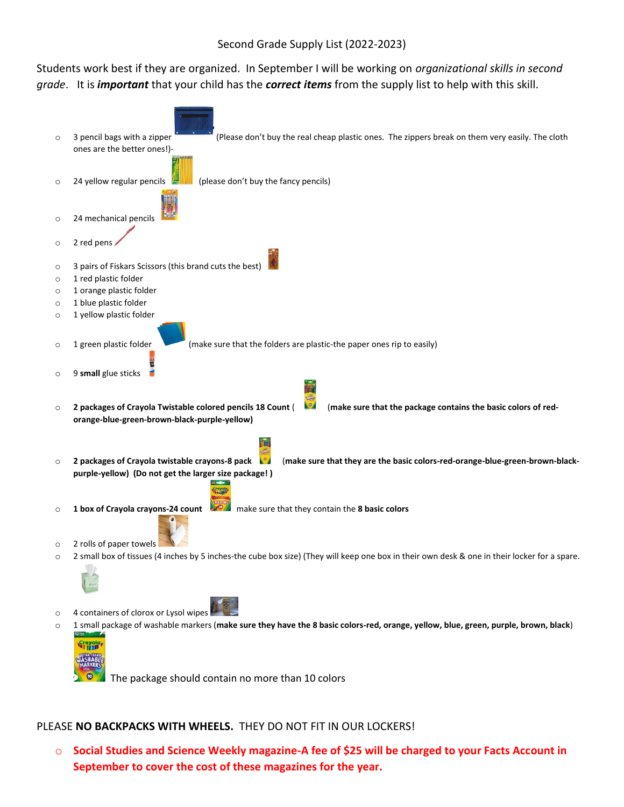### Second Grade Supply List (2022-2023)

Students work best if they are organized. In September I will be working on *organizational skills in second grade*. It is *important* that your child has the *correct items* from the supply list to help with this skill.



### PLEASE **NO BACKPACKS WITH WHEELS.** THEY DO NOT FIT IN OUR LOCKERS!

o **Social Studies and Science Weekly magazine-A fee of \$25 will be charged to your Facts Account in September to cover the cost of these magazines for the year.**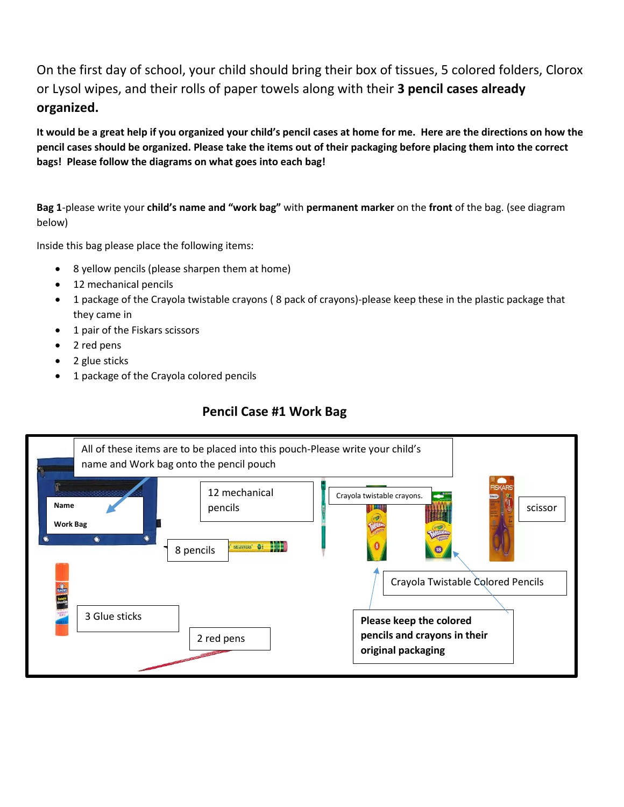On the first day of school, your child should bring their box of tissues, 5 colored folders, Clorox or Lysol wipes, and their rolls of paper towels along with their **3 pencil cases already organized.**

**It would be a great help if you organized your child's pencil cases at home for me. Here are the directions on how the pencil cases should be organized. Please take the items out of their packaging before placing them into the correct bags! Please follow the diagrams on what goes into each bag!**

**Bag 1**-please write your **child's name and "work bag"** with **permanent marker** on the **front** of the bag. (see diagram below)

Inside this bag please place the following items:

- 8 yellow pencils (please sharpen them at home)
- 12 mechanical pencils
- 1 package of the Crayola twistable crayons ( 8 pack of crayons)-please keep these in the plastic package that they came in
- 1 pair of the Fiskars scissors
- 2 red pens
- 2 glue sticks
- 1 package of the Crayola colored pencils

## **Pencil Case #1 Work Bag**